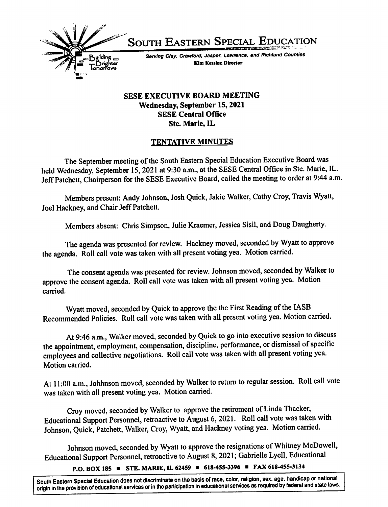

South Eastern Special Education

Serving Clay, Crawford, Jasper, Lawrence, and Richland Counties Kim Kessler, Director

# SESE EXECUTIVE BOARD MEETING Wednesday, September 15,2021 **SESE Central Office** Ste. Marie, IL

# TENTATIVE MINUTES

The September meeting of the South Eastern Special Education Executive Board was held Wednesday, September 15, 2021 at 9:30 a.m., at the SESE Central Office in Ste. Marie, IL. Jeff Patchett, Chairperson for the SESE Executive Board, called the meeting to order at 9:44 a.m.

Members present: Andy Johnson, Josh Quick, Jakie Walker, Cathy Croy, Travis Wyatt, Joel Hackney, and Chair Jeff Patchett.

Members absent: Chris Simpson, Julie Kracmer, Jessica Sisil, and Doug Daugherty.

The agenda was presented for review. Hackney moved, seconded by Wyatt to approve the agenda. Roll call vote was taken with all present voting yea. Motion carried.

The consent agenda was presented for review. Johnson moved, seconded by Walker to approve the consent agenda. Roll call vote was taken with all present voting yea. Motion carried.

Wyatt moved, seconded by Quick to approve the the First Reading of the lASB Recommended Policies. Roll call vote was taken with all present voting yea. Motion carried.

At 9:46 a.m.. Walker moved, seconded by Quick to go into executive session to discuss the appointment, employment, compensation, discipline, performance, or dismissal of specific employees and collective negotiations. Roll call vote was taken with all present voting yea. Motion carried.

At 11:00 a.m., Johhnson moved, seconded by Walker to return to regular session. Roll call vote was taken with all present voting yea. Motion carried.

Croy moved, seconded by Walker to approve the retirement of Linda Thacker, Educational Support Personnel, retroactive to August 6,2021. Roll call vote was taken with Johnson, Quick, Patchett, Walker, Croy, Wyatt, and Hackney voting yea. Motion carried.

Johnson moved, seconded by Wyatt to approve the resignations of Whitney MeDowell, Educational Support Personnel, retroactive to August 8,2021; Gabrielle Lyell, Educational

P.O. BOX 185 ■ STE. MARIE, IL 62459 ■ 618-455-3396 ■ FAX 618-455-3134

South Eastern Special Education does not discriminate on the basis of race, color, religion, sex. age. handicap or national origin in the provision of educational services or in the participation in educational services as required by federal and state laws.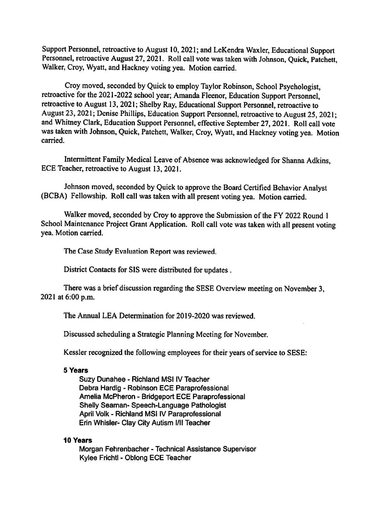Support Personnel, retroactive to August 10,2021; and LeKendra Waxier, Educational Support Personnel, retroactive August 27, 2021. Roll call vote was taken with Johnson, Quick, Patchett, Walker, Croy, Wyatt, and Hackney voting yea. Motion carried.

Croy moved, seconded by Quick to employ Taylor Robinson, School Psychologist, retroactive for the 2021-2022 school year; Amanda Fleenor, Education Support Personnel, retroactive to August 13, 2021; Shelby Ray, Educational Support Personnel, retroactive to August 23, 2021; Denise Phillips, Education Support Personnel, retroactive to August 25, 2021; and Whitney Clark, Education Support Personnel, effective September 27,2021. Roll call vote was taken with Johnson, Quick, Patchett, Walker, Croy, Wyatt, and Hackney voting yea. Motion carried.

Intermittent Family Medical Leave of Absence was acknowledged for Shanna Adkins, ECE Teacher, retroactive to August 13,2021.

Johnson moved, seconded by Quick to approve the Board Certified Behavior Analyst (BCBA) Fellowship. Roll call was taken with all present voting yea. Motion carried.

Walker moved, seconded by Croy to approve the Submission of the FY 2022 Round 1 School Maintenance Project Grant Application. Roll call vote was taken with all present voting yea. Motion carried.

The Case Study Evaluation Report was reviewed.

District Contacts for SIS were distributed for updates .

There was a brief discussion regarding the SESE Overview meeting on November 3, 2021 at 6:00 p.m.

The Annual LEA Determination for 2019-2020 was reviewed.

Discussed scheduling a Strategic Planning Meeting for November.

Kessler recognized the following employees for their years of service to SESE:

#### 5 Years

Suzy Dunahee - RIchland MSI IV Teacher Debra Hardig - Robinson ECE Paraprofessional Amelia McPheron - Bridgeport ECE Paraprofessional Shelly Seaman- Speech-Language Pathologist April Volk - RIchland MSI IV Paraprofessional Erin Whisler- Clay City Autism I/I I Teacher

### 10 Years

Morgan Fehrenbacher - Technical Assistance Supervisor Kylee Frichti - Oblong ECE Teacher